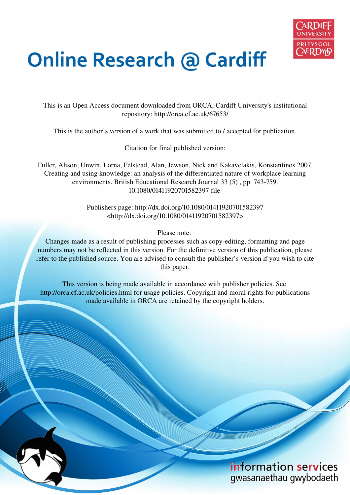

# **Online Research @ Cardiff**

This is an Open Access document downloaded from ORCA, Cardiff University's institutional repository: http://orca.cf.ac.uk/67653/

This is the author's version of a work that was submitted to / accepted for publication.

Citation for final published version:

Fuller, Alison, Unwin, Lorna, Felstead, Alan, Jewson, Nick and Kakavelakis, Konstantinos 2007. Creating and using knowledge: an analysis of the differentiated nature of workplace learning environments. British Educational Research Journal 33 (5) , pp. 743-759. 10.1080/01411920701582397 file

> Publishers page: http://dx.doi.org/10.1080/01411920701582397 <http://dx.doi.org/10.1080/01411920701582397>

> > Please note:

Changes made as a result of publishing processes such as copy-editing, formatting and page numbers may not be reflected in this version. For the definitive version of this publication, please refer to the published source. You are advised to consult the publisher's version if you wish to cite this paper.

This version is being made available in accordance with publisher policies. See http://orca.cf.ac.uk/policies.html for usage policies. Copyright and moral rights for publications made available in ORCA are retained by the copyright holders.

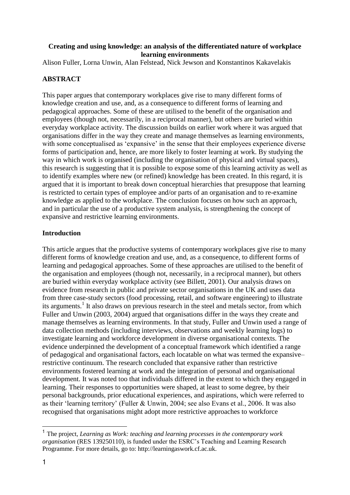## **Creating and using knowledge: an analysis of the differentiated nature of workplace learning environments**

Alison Fuller, Lorna Unwin, Alan Felstead, Nick Jewson and Konstantinos Kakavelakis

## **ABSTRACT**

This paper argues that contemporary workplaces give rise to many different forms of knowledge creation and use, and, as a consequence to different forms of learning and pedagogical approaches. Some of these are utilised to the benefit of the organisation and employees (though not, necessarily, in a reciprocal manner), but others are buried within everyday workplace activity. The discussion builds on earlier work where it was argued that organisations differ in the way they create and manage themselves as learning environments, with some conceptualised as 'expansive' in the sense that their employees experience diverse forms of participation and, hence, are more likely to foster learning at work. By studying the way in which work is organised (including the organisation of physical and virtual spaces), this research is suggesting that it is possible to expose some of this learning activity as well as to identify examples where new (or refined) knowledge has been created. In this regard, it is argued that it is important to break down conceptual hierarchies that presuppose that learning is restricted to certain types of employee and/or parts of an organisation and to re-examine knowledge as applied to the workplace. The conclusion focuses on how such an approach, and in particular the use of a productive system analysis, is strengthening the concept of expansive and restrictive learning environments.

## **Introduction**

This article argues that the productive systems of contemporary workplaces give rise to many different forms of knowledge creation and use, and, as a consequence, to different forms of learning and pedagogical approaches. Some of these approaches are utilised to the benefit of the organisation and employees (though not, necessarily, in a reciprocal manner), but others are buried within everyday workplace activity (see Billett, 2001). Our analysis draws on evidence from research in public and private sector organisations in the UK and uses data from three case-study sectors (food processing, retail, and software engineering) to illustrate its arguments.<sup>1</sup> It also draws on previous research in the steel and metals sector, from which Fuller and Unwin (2003, 2004) argued that organisations differ in the ways they create and manage themselves as learning environments. In that study, Fuller and Unwin used a range of data collection methods (including interviews, observations and weekly learning logs) to investigate learning and workforce development in diverse organisational contexts. The evidence underpinned the development of a conceptual framework which identified a range of pedagogical and organisational factors, each locatable on what was termed the expansive– restrictive continuum. The research concluded that expansive rather than restrictive environments fostered learning at work and the integration of personal and organisational development. It was noted too that individuals differed in the extent to which they engaged in learning. Their responses to opportunities were shaped, at least to some degree, by their personal backgrounds, prior educational experiences, and aspirations, which were referred to as their 'learning territory' (Fuller & Unwin, 2004; see also Evans et al., 2006. It was also recognised that organisations might adopt more restrictive approaches to workforce

 1 The project, *Learning as Work: teaching and learning processes in the contemporary work organisation* (RES 139250110), is funded under the ESRC's Teaching and Learning Research Programme. For more details, go to: http://learningaswork.cf.ac.uk.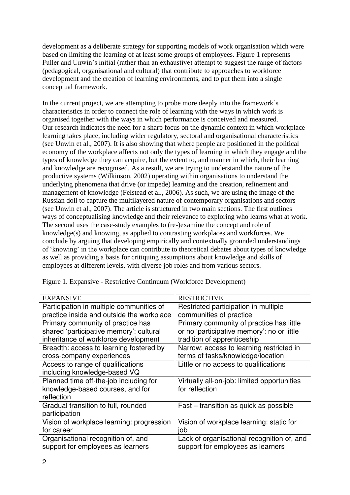development as a deliberate strategy for supporting models of work organisation which were based on limiting the learning of at least some groups of employees. Figure 1 represents Fuller and Unwin's initial (rather than an exhaustive) attempt to suggest the range of factors (pedagogical, organisational and cultural) that contribute to approaches to workforce development and the creation of learning environments, and to put them into a single conceptual framework.

In the current project, we are attempting to probe more deeply into the framework's characteristics in order to connect the role of learning with the ways in which work is organised together with the ways in which performance is conceived and measured. Our research indicates the need for a sharp focus on the dynamic context in which workplace learning takes place, including wider regulatory, sectoral and organisational characteristics (see Unwin et al., 2007). It is also showing that where people are positioned in the political economy of the workplace affects not only the types of learning in which they engage and the types of knowledge they can acquire, but the extent to, and manner in which, their learning and knowledge are recognised. As a result, we are trying to understand the nature of the productive systems (Wilkinson, 2002) operating within organisations to understand the underlying phenomena that drive (or impede) learning and the creation, refinement and management of knowledge (Felstead et al., 2006). As such, we are using the image of the Russian doll to capture the multilayered nature of contemporary organisations and sectors (see Unwin et al., 2007). The article is structured in two main sections. The first outlines ways of conceptualising knowledge and their relevance to exploring who learns what at work. The second uses the case-study examples to (re-)examine the concept and role of knowledge(s) and knowing, as applied to contrasting workplaces and workforces. We conclude by arguing that developing empirically and contextually grounded understandings of 'knowing' in the workplace can contribute to theoretical debates about types of knowledge as well as providing a basis for critiquing assumptions about knowledge and skills of employees at different levels, with diverse job roles and from various sectors.

| <b>EXPANSIVE</b>                          | <b>RESTRICTIVE</b>                          |
|-------------------------------------------|---------------------------------------------|
| Participation in multiple communities of  | Restricted participation in multiple        |
| practice inside and outside the workplace | communities of practice                     |
| Primary community of practice has         | Primary community of practice has little    |
| shared 'participative memory': cultural   | or no 'participative memory': no or little  |
| inheritance of workforce development      | tradition of apprenticeship                 |
| Breadth: access to learning fostered by   | Narrow: access to learning restricted in    |
| cross-company experiences                 | terms of tasks/knowledge/location           |
| Access to range of qualifications         | Little or no access to qualifications       |
| including knowledge-based VQ              |                                             |
| Planned time off-the-job including for    | Virtually all-on-job: limited opportunities |
| knowledge-based courses, and for          | for reflection                              |
| reflection                                |                                             |
| Gradual transition to full, rounded       | Fast – transition as quick as possible      |
| participation                             |                                             |
| Vision of workplace learning: progression | Vision of workplace learning: static for    |
| for career                                | iob                                         |
| Organisational recognition of, and        | Lack of organisational recognition of, and  |
| support for employees as learners         | support for employees as learners           |

Figure 1. Expansive - Restrictive Continuum (Workforce Development)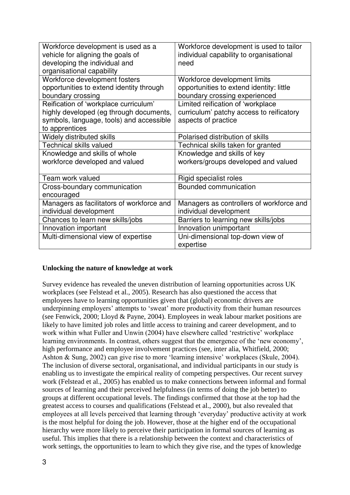| Workforce development is used as a<br>vehicle for aligning the goals of<br>developing the individual and | Workforce development is used to tailor<br>individual capability to organisational<br>need |
|----------------------------------------------------------------------------------------------------------|--------------------------------------------------------------------------------------------|
| organisational capability                                                                                |                                                                                            |
| Workforce development fosters                                                                            | Workforce development limits                                                               |
| opportunities to extend identity through                                                                 | opportunities to extend identity: little                                                   |
| boundary crossing                                                                                        | boundary crossing experienced                                                              |
| Reification of 'workplace curriculum'                                                                    | Limited reification of 'workplace                                                          |
| highly developed (eg through documents,                                                                  | curriculum' patchy access to reificatory                                                   |
| symbols, language, tools) and accessible                                                                 | aspects of practice                                                                        |
| to apprentices                                                                                           |                                                                                            |
| Widely distributed skills                                                                                | Polarised distribution of skills                                                           |
| <b>Technical skills valued</b>                                                                           | Technical skills taken for granted                                                         |
| Knowledge and skills of whole                                                                            | Knowledge and skills of key                                                                |
| workforce developed and valued                                                                           | workers/groups developed and valued                                                        |
|                                                                                                          |                                                                                            |
| Team work valued                                                                                         | Rigid specialist roles                                                                     |
| Cross-boundary communication                                                                             | Bounded communication                                                                      |
| encouraged                                                                                               |                                                                                            |
| Managers as facilitators of workforce and                                                                | Managers as controllers of workforce and                                                   |
| individual development                                                                                   | individual development                                                                     |
| Chances to learn new skills/jobs                                                                         | Barriers to learning new skills/jobs                                                       |
| Innovation important                                                                                     | Innovation unimportant                                                                     |
| Multi-dimensional view of expertise                                                                      | Uni-dimensional top-down view of                                                           |
|                                                                                                          | expertise                                                                                  |

## **Unlocking the nature of knowledge at work**

Survey evidence has revealed the uneven distribution of learning opportunities across UK workplaces (see Felstead et al., 2005). Research has also questioned the access that employees have to learning opportunities given that (global) economic drivers are underpinning employers' attempts to 'sweat' more productivity from their human resources (see Fenwick, 2000; Lloyd & Payne, 2004). Employees in weak labour market positions are likely to have limited job roles and little access to training and career development, and to work within what Fuller and Unwin (2004) have elsewhere called 'restrictive' workplace learning environments. In contrast, others suggest that the emergence of the 'new economy', high performance and employee involvement practices (see, inter alia, Whitfield, 2000; Ashton & Sung, 2002) can give rise to more 'learning intensive' workplaces (Skule, 2004). The inclusion of diverse sectoral, organisational, and individual participants in our study is enabling us to investigate the empirical reality of competing perspectives. Our recent survey work (Felstead et al., 2005) has enabled us to make connections between informal and formal sources of learning and their perceived helpfulness (in terms of doing the job better) to groups at different occupational levels. The findings confirmed that those at the top had the greatest access to courses and qualifications (Felstead et al., 2000), but also revealed that employees at all levels perceived that learning through 'everyday' productive activity at work is the most helpful for doing the job. However, those at the higher end of the occupational hierarchy were more likely to perceive their participation in formal sources of learning as useful. This implies that there is a relationship between the context and characteristics of work settings, the opportunities to learn to which they give rise, and the types of knowledge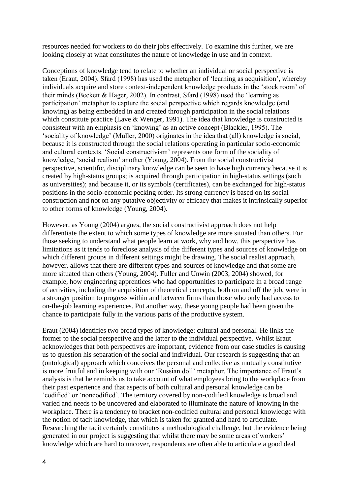resources needed for workers to do their jobs effectively. To examine this further, we are looking closely at what constitutes the nature of knowledge in use and in context.

Conceptions of knowledge tend to relate to whether an individual or social perspective is taken (Eraut, 2004). Sfard (1998) has used the metaphor of 'learning as acquisition', whereby individuals acquire and store context-independent knowledge products in the 'stock room' of their minds (Beckett & Hager, 2002). In contrast, Sfard (1998) used the 'learning as participation' metaphor to capture the social perspective which regards knowledge (and knowing) as being embedded in and created through participation in the social relations which constitute practice (Lave & Wenger, 1991). The idea that knowledge is constructed is consistent with an emphasis on 'knowing' as an active concept (Blackler, 1995). The 'sociality of knowledge' (Muller, 2000) originates in the idea that (all) knowledge is social, because it is constructed through the social relations operating in particular socio-economic and cultural contexts. 'Social constructivism' represents one form of the sociality of knowledge, 'social realism' another (Young, 2004). From the social constructivist perspective, scientific, disciplinary knowledge can be seen to have high currency because it is created by high-status groups; is acquired through participation in high-status settings (such as universities); and because it, or its symbols (certificates), can be exchanged for high-status positions in the socio-economic pecking order. Its strong currency is based on its social construction and not on any putative objectivity or efficacy that makes it intrinsically superior to other forms of knowledge (Young, 2004).

However, as Young (2004) argues, the social constructivist approach does not help differentiate the extent to which some types of knowledge are more situated than others. For those seeking to understand what people learn at work, why and how, this perspective has limitations as it tends to foreclose analysis of the different types and sources of knowledge on which different groups in different settings might be drawing. The social realist approach, however, allows that there are different types and sources of knowledge and that some are more situated than others (Young, 2004). Fuller and Unwin (2003, 2004) showed, for example, how engineering apprentices who had opportunities to participate in a broad range of activities, including the acquisition of theoretical concepts, both on and off the job, were in a stronger position to progress within and between firms than those who only had access to on-the-job learning experiences. Put another way, these young people had been given the chance to participate fully in the various parts of the productive system.

Eraut (2004) identifies two broad types of knowledge: cultural and personal. He links the former to the social perspective and the latter to the individual perspective. Whilst Eraut acknowledges that both perspectives are important, evidence from our case studies is causing us to question his separation of the social and individual. Our research is suggesting that an (ontological) approach which conceives the personal and collective as mutually constitutive is more fruitful and in keeping with our 'Russian doll' metaphor. The importance of Eraut's analysis is that he reminds us to take account of what employees bring to the workplace from their past experience and that aspects of both cultural and personal knowledge can be 'codified' or 'noncodified'. The territory covered by non-codified knowledge is broad and varied and needs to be uncovered and elaborated to illuminate the nature of knowing in the workplace. There is a tendency to bracket non-codified cultural and personal knowledge with the notion of tacit knowledge, that which is taken for granted and hard to articulate. Researching the tacit certainly constitutes a methodological challenge, but the evidence being generated in our project is suggesting that whilst there may be some areas of workers' knowledge which are hard to uncover, respondents are often able to articulate a good deal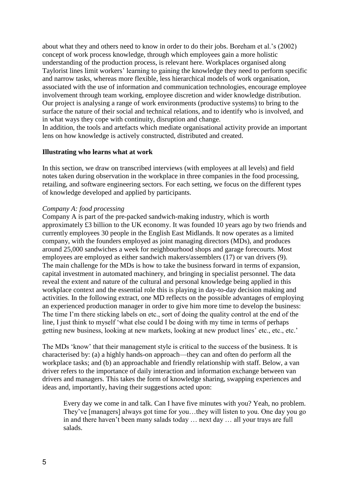about what they and others need to know in order to do their jobs. Boreham et al.'s (2002) concept of work process knowledge, through which employees gain a more holistic understanding of the production process, is relevant here. Workplaces organised along Taylorist lines limit workers' learning to gaining the knowledge they need to perform specific and narrow tasks, whereas more flexible, less hierarchical models of work organisation, associated with the use of information and communication technologies, encourage employee involvement through team working, employee discretion and wider knowledge distribution. Our project is analysing a range of work environments (productive systems) to bring to the surface the nature of their social and technical relations, and to identify who is involved, and in what ways they cope with continuity, disruption and change.

In addition, the tools and artefacts which mediate organisational activity provide an important lens on how knowledge is actively constructed, distributed and created.

#### **Illustrating who learns what at work**

In this section, we draw on transcribed interviews (with employees at all levels) and field notes taken during observation in the workplace in three companies in the food processing, retailing, and software engineering sectors. For each setting, we focus on the different types of knowledge developed and applied by participants.

#### *Company A: food processing*

Company A is part of the pre-packed sandwich-making industry, which is worth approximately £3 billion to the UK economy. It was founded 10 years ago by two friends and currently employees 30 people in the English East Midlands. It now operates as a limited company, with the founders employed as joint managing directors (MDs), and produces around 25,000 sandwiches a week for neighbourhood shops and garage forecourts. Most employees are employed as either sandwich makers/assemblers (17) or van drivers (9). The main challenge for the MDs is how to take the business forward in terms of expansion, capital investment in automated machinery, and bringing in specialist personnel. The data reveal the extent and nature of the cultural and personal knowledge being applied in this workplace context and the essential role this is playing in day-to-day decision making and activities. In the following extract, one MD reflects on the possible advantages of employing an experienced production manager in order to give him more time to develop the business: The time I'm there sticking labels on etc., sort of doing the quality control at the end of the line, I just think to myself 'what else could I be doing with my time in terms of perhaps getting new business, looking at new markets, looking at new product lines' etc., etc., etc.'

The MDs 'know' that their management style is critical to the success of the business. It is characterised by: (a) a highly hands-on approach—they can and often do perform all the workplace tasks; and (b) an approachable and friendly relationship with staff. Below, a van driver refers to the importance of daily interaction and information exchange between van drivers and managers. This takes the form of knowledge sharing, swapping experiences and ideas and, importantly, having their suggestions acted upon:

Every day we come in and talk. Can I have five minutes with you? Yeah, no problem. They've [managers] always got time for you…they will listen to you. One day you go in and there haven't been many salads today … next day … all your trays are full salads.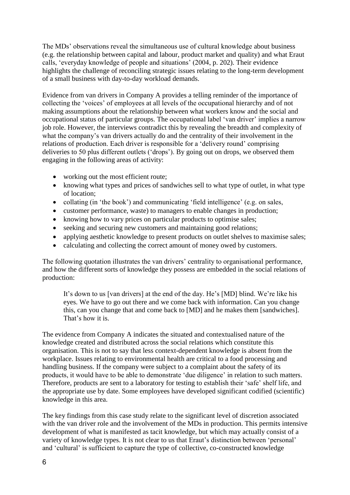The MDs' observations reveal the simultaneous use of cultural knowledge about business (e.g. the relationship between capital and labour, product market and quality) and what Eraut calls, 'everyday knowledge of people and situations' (2004, p. 202). Their evidence highlights the challenge of reconciling strategic issues relating to the long-term development of a small business with day-to-day workload demands.

Evidence from van drivers in Company A provides a telling reminder of the importance of collecting the 'voices' of employees at all levels of the occupational hierarchy and of not making assumptions about the relationship between what workers know and the social and occupational status of particular groups. The occupational label 'van driver' implies a narrow job role. However, the interviews contradict this by revealing the breadth and complexity of what the company's van drivers actually do and the centrality of their involvement in the relations of production. Each driver is responsible for a 'delivery round' comprising deliveries to 50 plus different outlets ('drops'). By going out on drops, we observed them engaging in the following areas of activity:

- working out the most efficient route;
- knowing what types and prices of sandwiches sell to what type of outlet, in what type of location;
- collating (in 'the book') and communicating 'field intelligence' (e.g. on sales,
- customer performance, waste) to managers to enable changes in production;
- knowing how to vary prices on particular products to optimise sales;
- seeking and securing new customers and maintaining good relations;
- applying aesthetic knowledge to present products on outlet shelves to maximise sales;
- calculating and collecting the correct amount of money owed by customers.

The following quotation illustrates the van drivers' centrality to organisational performance, and how the different sorts of knowledge they possess are embedded in the social relations of production:

It's down to us [van drivers] at the end of the day. He's [MD] blind. We're like his eyes. We have to go out there and we come back with information. Can you change this, can you change that and come back to [MD] and he makes them [sandwiches]. That's how it is.

The evidence from Company A indicates the situated and contextualised nature of the knowledge created and distributed across the social relations which constitute this organisation. This is not to say that less context-dependent knowledge is absent from the workplace. Issues relating to environmental health are critical to a food processing and handling business. If the company were subject to a complaint about the safety of its products, it would have to be able to demonstrate 'due diligence' in relation to such matters. Therefore, products are sent to a laboratory for testing to establish their 'safe' shelf life, and the appropriate use by date. Some employees have developed significant codified (scientific) knowledge in this area.

The key findings from this case study relate to the significant level of discretion associated with the van driver role and the involvement of the MDs in production. This permits intensive development of what is manifested as tacit knowledge, but which may actually consist of a variety of knowledge types. It is not clear to us that Eraut's distinction between 'personal' and 'cultural' is sufficient to capture the type of collective, co-constructed knowledge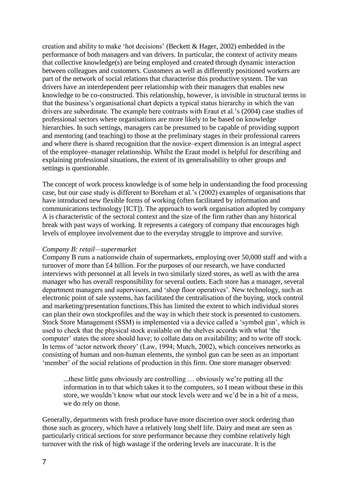creation and ability to make 'hot decisions' (Beckett & Hager, 2002) embedded in the performance of both managers and van drivers. In particular, the context of activity means that collective knowledge(s) are being employed and created through dynamic interaction between colleagues and customers. Customers as well as differently positioned workers are part of the network of social relations that characterise this productive system. The van drivers have an interdependent peer relationship with their managers that enables new knowledge to be co-constructed. This relationship, however, is invisible in structural terms in that the business's organisational chart depicts a typical status hierarchy in which the van drivers are subordinate. The example here contrasts with Eraut et al.'s (2004) case studies of professional sectors where organisations are more likely to be based on knowledge hierarchies. In such settings, managers can be presumed to be capable of providing support and mentoring (and teaching) to those at the preliminary stages in their professional careers and where there is shared recognition that the novice–expert dimension is an integral aspect of the employee–manager relationship. Whilst the Eraut model is helpful for describing and explaining professional situations, the extent of its generalisability to other groups and settings is questionable.

The concept of work process knowledge is of some help in understanding the food processing case, but our case study is different to Boreham et al.'s (2002) examples of organisations that have introduced new flexible forms of working (often facilitated by information and communications technology [ICT]). The approach to work organisation adopted by company A is characteristic of the sectoral context and the size of the firm rather than any historical break with past ways of working. It represents a category of company that encourages high levels of employee involvement due to the everyday struggle to improve and survive.

#### *Company B: retail—supermarket*

Company B runs a nationwide chain of supermarkets, employing over 50,000 staff and with a turnover of more than £4 billion. For the purposes of our research, we have conducted interviews with personnel at all levels in two similarly sized stores, as well as with the area manager who has overall responsibility for several outlets. Each store has a manager, several department managers and supervisors, and 'shop floor operatives'. New technology, such as electronic point of sale systems, has facilitated the centralisation of the buying, stock control and marketing/presentation functions.This has limited the extent to which individual stores can plan their own stockprofiles and the way in which their stock is presented to customers. Stock Store Management (SSM) is implemented via a device called a 'symbol gun', which is used to check that the physical stock available on the shelves accords with what 'the computer' states the store should have; to collate data on availability; and to write off stock. In terms of 'actor network theory' (Law, 1994; Mutch, 2002), which conceives networks as consisting of human and non-human elements, the symbol gun can be seen as an important 'member' of the social relations of production in this firm. One store manager observed:

...these little guns obviously are controlling … obviously we're putting all the information in to that which takes it to the computers, so I mean without these in this store, we wouldn't know what our stock levels were and we'd be in a bit of a mess, we do rely on those.

Generally, departments with fresh produce have more discretion over stock ordering than those such as grocery, which have a relatively long shelf life. Dairy and meat are seen as particularly critical sections for store performance because they combine relatively high turnover with the risk of high wastage if the ordering levels are inaccurate. It is the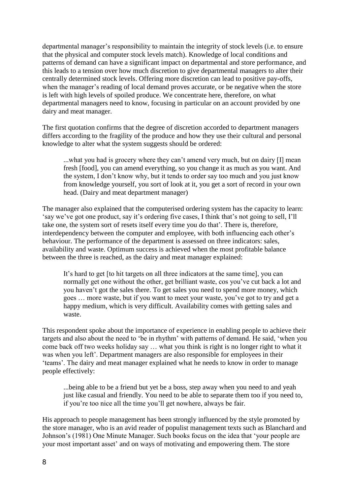departmental manager's responsibility to maintain the integrity of stock levels (i.e. to ensure that the physical and computer stock levels match). Knowledge of local conditions and patterns of demand can have a significant impact on departmental and store performance, and this leads to a tension over how much discretion to give departmental managers to alter their centrally determined stock levels. Offering more discretion can lead to positive pay-offs, when the manager's reading of local demand proves accurate, or be negative when the store is left with high levels of spoiled produce. We concentrate here, therefore, on what departmental managers need to know, focusing in particular on an account provided by one dairy and meat manager.

The first quotation confirms that the degree of discretion accorded to department managers differs according to the fragility of the produce and how they use their cultural and personal knowledge to alter what the system suggests should be ordered:

...what you had is grocery where they can't amend very much, but on dairy [I] mean fresh [food], you can amend everything, so you change it as much as you want. And the system, I don't know why, but it tends to order say too much and you just know from knowledge yourself, you sort of look at it, you get a sort of record in your own head. (Dairy and meat department manager)

The manager also explained that the computerised ordering system has the capacity to learn: 'say we've got one product, say it's ordering five cases, I think that's not going to sell, I'll take one, the system sort of resets itself every time you do that'. There is, therefore, interdependency between the computer and employee, with both influencing each other's behaviour. The performance of the department is assessed on three indicators: sales, availability and waste. Optimum success is achieved when the most profitable balance between the three is reached, as the dairy and meat manager explained:

It's hard to get [to hit targets on all three indicators at the same time], you can normally get one without the other, get brilliant waste, cos you've cut back a lot and you haven't got the sales there. To get sales you need to spend more money, which goes … more waste, but if you want to meet your waste, you've got to try and get a happy medium, which is very difficult. Availability comes with getting sales and waste.

This respondent spoke about the importance of experience in enabling people to achieve their targets and also about the need to 'be in rhythm' with patterns of demand. He said, 'when you come back off two weeks holiday say … what you think is right is no longer right to what it was when you left'. Department managers are also responsible for employees in their 'teams'. The dairy and meat manager explained what he needs to know in order to manage people effectively:

...being able to be a friend but yet be a boss, step away when you need to and yeah just like casual and friendly. You need to be able to separate them too if you need to, if you're too nice all the time you'll get nowhere, always be fair.

His approach to people management has been strongly influenced by the style promoted by the store manager, who is an avid reader of populist management texts such as Blanchard and Johnson's (1981) One Minute Manager. Such books focus on the idea that 'your people are your most important asset' and on ways of motivating and empowering them. The store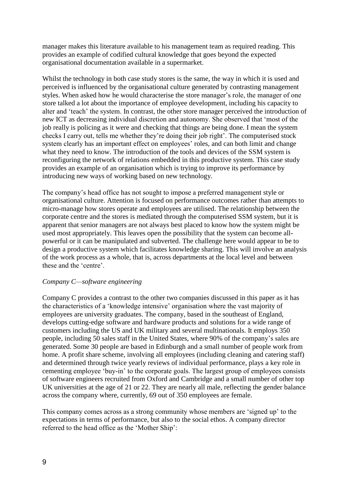manager makes this literature available to his management team as required reading. This provides an example of codified cultural knowledge that goes beyond the expected organisational documentation available in a supermarket.

Whilst the technology in both case study stores is the same, the way in which it is used and perceived is influenced by the organisational culture generated by contrasting management styles. When asked how he would characterise the store manager's role, the manager of one store talked a lot about the importance of employee development, including his capacity to alter and 'teach' the system. In contrast, the other store manager perceived the introduction of new ICT as decreasing individual discretion and autonomy. She observed that 'most of the job really is policing as it were and checking that things are being done. I mean the system checks I carry out, tells me whether they're doing their job right'. The computerised stock system clearly has an important effect on employees' roles, and can both limit and change what they need to know. The introduction of the tools and devices of the SSM system is reconfiguring the network of relations embedded in this productive system. This case study provides an example of an organisation which is trying to improve its performance by introducing new ways of working based on new technology.

The company's head office has not sought to impose a preferred management style or organisational culture. Attention is focused on performance outcomes rather than attempts to micro-manage how stores operate and employees are utilised. The relationship between the corporate centre and the stores is mediated through the computerised SSM system, but it is apparent that senior managers are not always best placed to know how the system might be used most appropriately. This leaves open the possibility that the system can become allpowerful or it can be manipulated and subverted. The challenge here would appear to be to design a productive system which facilitates knowledge sharing. This will involve an analysis of the work process as a whole, that is, across departments at the local level and between these and the 'centre'.

## *Company C—software engineering*

Company C provides a contrast to the other two companies discussed in this paper as it has the characteristics of a 'knowledge intensive' organisation where the vast majority of employees are university graduates. The company, based in the southeast of England, develops cutting-edge software and hardware products and solutions for a wide range of customers including the US and UK military and several multinationals. It employs 350 people, including 50 sales staff in the United States, where 90% of the company's sales are generated. Some 30 people are based in Edinburgh and a small number of people work from home. A profit share scheme, involving all employees (including cleaning and catering staff) and determined through twice yearly reviews of individual performance, plays a key role in cementing employee 'buy-in' to the corporate goals. The largest group of employees consists of software engineers recruited from Oxford and Cambridge and a small number of other top UK universities at the age of 21 or 22. They are nearly all male, reflecting the gender balance across the company where, currently, 69 out of 350 employees are female.

This company comes across as a strong community whose members are 'signed up' to the expectations in terms of performance, but also to the social ethos. A company director referred to the head office as the 'Mother Ship':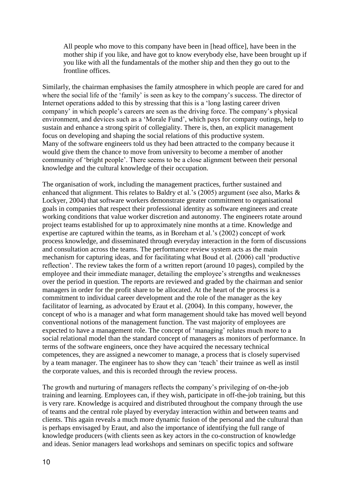All people who move to this company have been in [head office], have been in the mother ship if you like, and have got to know everybody else, have been brought up if you like with all the fundamentals of the mother ship and then they go out to the frontline offices.

Similarly, the chairman emphasises the family atmosphere in which people are cared for and where the social life of the 'family' is seen as key to the company's success. The director of Internet operations added to this by stressing that this is a 'long lasting career driven company' in which people's careers are seen as the driving force. The company's physical environment, and devices such as a 'Morale Fund', which pays for company outings, help to sustain and enhance a strong spirit of collegiality. There is, then, an explicit management focus on developing and shaping the social relations of this productive system. Many of the software engineers told us they had been attracted to the company because it would give them the chance to move from university to become a member of another community of 'bright people'. There seems to be a close alignment between their personal knowledge and the cultural knowledge of their occupation.

The organisation of work, including the management practices, further sustained and enhanced that alignment. This relates to Baldry et al.'s (2005) argument (see also, Marks & Lockyer, 2004) that software workers demonstrate greater commitment to organisational goals in companies that respect their professional identity as software engineers and create working conditions that value worker discretion and autonomy. The engineers rotate around project teams established for up to approximately nine months at a time. Knowledge and expertise are captured within the teams, as in Boreham et al.'s (2002) concept of work process knowledge, and disseminated through everyday interaction in the form of discussions and consultation across the teams. The performance review system acts as the main mechanism for capturing ideas, and for facilitating what Boud et al. (2006) call 'productive reflection'. The review takes the form of a written report (around 10 pages), compiled by the employee and their immediate manager, detailing the employee's strengths and weaknesses over the period in question. The reports are reviewed and graded by the chairman and senior managers in order for the profit share to be allocated. At the heart of the process is a commitment to individual career development and the role of the manager as the key facilitator of learning, as advocated by Eraut et al. (2004). In this company, however, the concept of who is a manager and what form management should take has moved well beyond conventional notions of the management function. The vast majority of employees are expected to have a management role. The concept of 'managing' relates much more to a social relational model than the standard concept of managers as monitors of performance. In terms of the software engineers, once they have acquired the necessary technical competences, they are assigned a newcomer to manage, a process that is closely supervised by a team manager. The engineer has to show they can 'teach' their trainee as well as instil the corporate values, and this is recorded through the review process.

The growth and nurturing of managers reflects the company's privileging of on-the-job training and learning. Employees can, if they wish, participate in off-the-job training, but this is very rare. Knowledge is acquired and distributed throughout the company through the use of teams and the central role played by everyday interaction within and between teams and clients. This again reveals a much more dynamic fusion of the personal and the cultural than is perhaps envisaged by Eraut, and also the importance of identifying the full range of knowledge producers (with clients seen as key actors in the co-construction of knowledge and ideas. Senior managers lead workshops and seminars on specific topics and software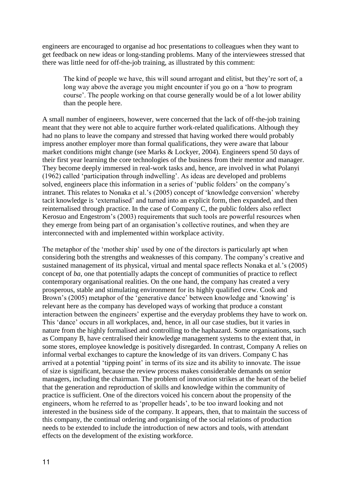engineers are encouraged to organise ad hoc presentations to colleagues when they want to get feedback on new ideas or long-standing problems. Many of the interviewees stressed that there was little need for off-the-job training, as illustrated by this comment:

The kind of people we have, this will sound arrogant and elitist, but they're sort of, a long way above the average you might encounter if you go on a 'how to program course'. The people working on that course generally would be of a lot lower ability than the people here.

A small number of engineers, however, were concerned that the lack of off-the-job training meant that they were not able to acquire further work-related qualifications. Although they had no plans to leave the company and stressed that having worked there would probably impress another employer more than formal qualifications, they were aware that labour market conditions might change (see Marks & Lockyer, 2004). Engineers spend 50 days of their first year learning the core technologies of the business from their mentor and manager. They become deeply immersed in real-work tasks and, hence, are involved in what Polanyi (1962) called 'participation through indwelling'. As ideas are developed and problems solved, engineers place this information in a series of 'public folders' on the company's intranet. This relates to Nonaka et al.'s (2005) concept of 'knowledge conversion' whereby tacit knowledge is 'externalised' and turned into an explicit form, then expanded, and then reinternalised through practice. In the case of Company C, the public folders also reflect Kerosuo and Engestrom's (2003) requirements that such tools are powerful resources when they emerge from being part of an organisation's collective routines, and when they are interconnected with and implemented within workplace activity.

The metaphor of the 'mother ship' used by one of the directors is particularly apt when considering both the strengths and weaknesses of this company. The company's creative and sustained management of its physical, virtual and mental space reflects Nonaka et al.'s (2005) concept of *ba*, one that potentially adapts the concept of communities of practice to reflect contemporary organisational realities. On the one hand, the company has created a very prosperous, stable and stimulating environment for its highly qualified crew. Cook and Brown's (2005) metaphor of the 'generative dance' between knowledge and 'knowing' is relevant here as the company has developed ways of working that produce a constant interaction between the engineers' expertise and the everyday problems they have to work on. This 'dance' occurs in all workplaces, and, hence, in all our case studies, but it varies in nature from the highly formalised and controlling to the haphazard. Some organisations, such as Company B, have centralised their knowledge management systems to the extent that, in some stores, employee knowledge is positively disregarded. In contrast, Company A relies on informal verbal exchanges to capture the knowledge of its van drivers. Company C has arrived at a potential 'tipping point' in terms of its size and its ability to innovate. The issue of size is significant, because the review process makes considerable demands on senior managers, including the chairman. The problem of innovation strikes at the heart of the belief that the generation and reproduction of skills and knowledge within the community of practice is sufficient. One of the directors voiced his concern about the propensity of the engineers, whom he referred to as 'propeller heads', to be too inward looking and not interested in the business side of the company. It appears, then, that to maintain the success of this company, the continual ordering and organising of the social relations of production needs to be extended to include the introduction of new actors and tools, with attendant effects on the development of the existing workforce.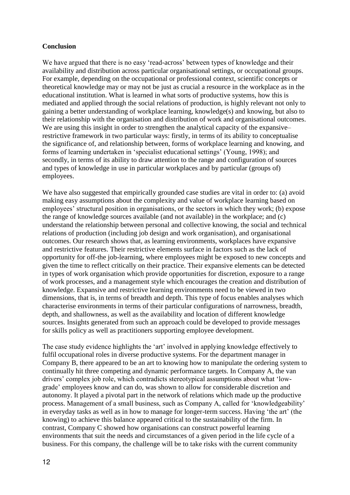## **Conclusion**

We have argued that there is no easy 'read-across' between types of knowledge and their availability and distribution across particular organisational settings, or occupational groups. For example, depending on the occupational or professional context, scientific concepts or theoretical knowledge may or may not be just as crucial a resource in the workplace as in the educational institution. What is learned in what sorts of productive systems, how this is mediated and applied through the social relations of production, is highly relevant not only to gaining a better understanding of workplace learning, knowledge(s) and knowing, but also to their relationship with the organisation and distribution of work and organisational outcomes. We are using this insight in order to strengthen the analytical capacity of the expansive– restrictive framework in two particular ways: firstly, in terms of its ability to conceptualise the significance of, and relationship between, forms of workplace learning and knowing, and forms of learning undertaken in 'specialist educational settings' (Young, 1998); and secondly, in terms of its ability to draw attention to the range and configuration of sources and types of knowledge in use in particular workplaces and by particular (groups of) employees.

We have also suggested that empirically grounded case studies are vital in order to: (a) avoid making easy assumptions about the complexity and value of workplace learning based on employees' structural position in organisations, or the sectors in which they work; (b) expose the range of knowledge sources available (and not available) in the workplace; and (c) understand the relationship between personal and collective knowing, the social and technical relations of production (including job design and work organisation), and organisational outcomes. Our research shows that, as learning environments, workplaces have expansive and restrictive features. Their restrictive elements surface in factors such as the lack of opportunity for off-the job-learning, where employees might be exposed to new concepts and given the time to reflect critically on their practice. Their expansive elements can be detected in types of work organisation which provide opportunities for discretion, exposure to a range of work processes, and a management style which encourages the creation and distribution of knowledge. Expansive and restrictive learning environments need to be viewed in two dimensions, that is, in terms of breadth and depth. This type of focus enables analyses which characterise environments in terms of their particular configurations of narrowness, breadth, depth, and shallowness, as well as the availability and location of different knowledge sources. Insights generated from such an approach could be developed to provide messages for skills policy as well as practitioners supporting employee development.

The case study evidence highlights the 'art' involved in applying knowledge effectively to fulfil occupational roles in diverse productive systems. For the department manager in Company B, there appeared to be an art to knowing how to manipulate the ordering system to continually hit three competing and dynamic performance targets. In Company A, the van drivers' complex job role, which contradicts stereotypical assumptions about what 'lowgrade' employees know and can do, was shown to allow for considerable discretion and autonomy. It played a pivotal part in the network of relations which made up the productive process. Management of a small business, such as Company A, called for 'knowledgeability' in everyday tasks as well as in how to manage for longer-term success. Having 'the art' (the knowing) to achieve this balance appeared critical to the sustainability of the firm. In contrast, Company C showed how organisations can construct powerful learning environments that suit the needs and circumstances of a given period in the life cycle of a business. For this company, the challenge will be to take risks with the current community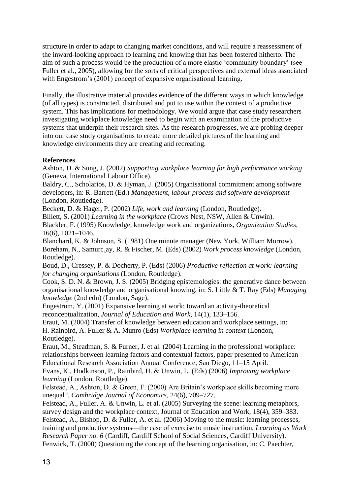structure in order to adapt to changing market conditions, and will require a reassessment of the inward-looking approach to learning and knowing that has been fostered hitherto. The aim of such a process would be the production of a more elastic 'community boundary' (see Fuller et al., 2005), allowing for the sorts of critical perspectives and external ideas associated with Engestrom's (2001) concept of expansive organisational learning.

Finally, the illustrative material provides evidence of the different ways in which knowledge (of all types) is constructed, distributed and put to use within the context of a productive system. This has implications for methodology. We would argue that case study researchers investigating workplace knowledge need to begin with an examination of the productive systems that underpin their research sites. As the research progresses, we are probing deeper into our case study organisations to create more detailed pictures of the learning and knowledge environments they are creating and recreating.

# **References**

Ashton, D. & Sung, J. (2002) *Supporting workplace learning for high performance working*  (Geneva, International Labour Office).

Baldry, C., Scholarios, D. & Hyman, J. (2005) Organisational commitment among software developers, in: R. Barrett (Ed.) *Management, labour process and software development* (London, Routledge).

Beckett, D. & Hager, P. (2002) *Life, work and learning* (London, Routledge).

Billett, S. (2001) *Learning in the workplace* (Crows Nest, NSW, Allen & Unwin).

Blackler, F. (1995) Knowledge, knowledge work and organizations, *Organization Studies*, 16(6), 1021–1046.

Blanchard, K. & Johnson, S. (1981) One minute manager (New York, William Morrow). Boreham, N., Samurc¸ay, R. & Fischer, M. (Eds) (2002) *Work process knowledge* (London, Routledge).

Boud, D., Cressey, P. & Docherty, P. (Eds) (2006) *Productive reflection at work: learning for changing organisations* (London, Routledge).

Cook, S. D. N. & Brown, J. S. (2005) Bridging epistemologies: the generative dance between organisational knowledge and organisational knowing, in: S. Little & T. Ray (Eds) *Managing knowledge* (2nd edn) (London, Sage).

Engestrom, Y. (2001) Expansive learning at work: toward an activity-theoretical reconceptualization, *Journal of Education and Work*, 14(1), 133–156.

Eraut, M. (2004) Transfer of knowledge between education and workplace settings, in: H. Rainbird, A. Fuller & A. Munro (Eds) *Workplace learning in context* (London, Routledge).

Eraut, M., Steadman, S. & Furner, J. et al. (2004) Learning in the professional workplace: relationships between learning factors and contextual factors, paper presented to American Educational Research Association Annual Conference, San Diego, 11–15 April.

Evans, K., Hodkinson, P., Rainbird, H. & Unwin, L. (Eds) (2006) *Improving workplace learning* (London, Routledge).

Felstead, A., Ashton, D. & Green, F. (2000) Are Britain's workplace skills becoming more unequal?, *Cambridge Journal of Economics*, 24(6), 709–727.

Felstead, A., Fuller, A. & Unwin, L. et al. (2005) Surveying the scene: learning metaphors, survey design and the workplace context, Journal of Education and Work, 18(4), 359–383. Felstead, A., Bishop, D. & Fuller, A. et al. (2006) Moving to the music: learning processes, training and productive systems—the case of exercise to music instruction, *Learning as Work Research Paper no. 6* (Cardiff, Cardiff School of Social Sciences, Cardiff University). Fenwick, T. (2000) Questioning the concept of the learning organisation, in: C. Paechter,